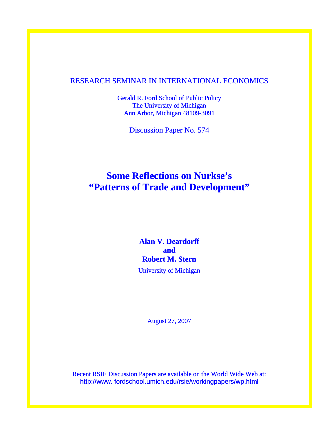# RESEARCH SEMINAR IN INTERNATIONAL ECONOMICS

Gerald R. Ford School of Public Policy The University of Michigan Ann Arbor, Michigan 48109-3091

Discussion Paper No. 574

# **Some Reflections on Nurkse's "Patterns of Trade and Development"**

# **Alan V. Deardorff and Robert M. Stern**

University of Michigan

August 27, 2007

Recent RSIE Discussion Papers are available on the World Wide Web at: http://www. fordschool.umich.edu/rsie/workingpapers/wp.html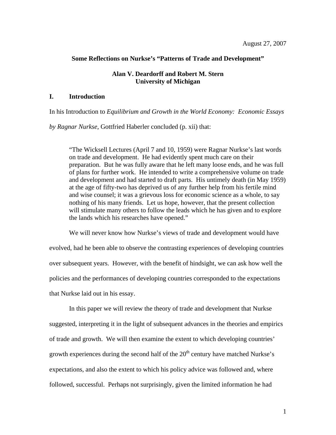# **Some Reflections on Nurkse's "Patterns of Trade and Development"**

# **Alan V. Deardorff and Robert M. Stern University of Michigan**

# **I. Introduction**

In his Introduction to *Equilibrium and Growth in the World Economy: Economic Essays* 

*by Ragnar Nurkse,* Gottfried Haberler concluded (p. xii) that:

"The Wicksell Lectures (April 7 and 10, 1959) were Ragnar Nurkse's last words on trade and development. He had evidently spent much care on their preparation. But he was fully aware that he left many loose ends, and he was full of plans for further work. He intended to write a comprehensive volume on trade and development and had started to draft parts. His untimely death (in May 1959) at the age of fifty-two has deprived us of any further help from his fertile mind and wise counsel; it was a grievous loss for economic science as a whole, to say nothing of his many friends. Let us hope, however, that the present collection will stimulate many others to follow the leads which he has given and to explore the lands which his researches have opened."

We will never know how Nurkse's views of trade and development would have evolved, had he been able to observe the contrasting experiences of developing countries over subsequent years. However, with the benefit of hindsight, we can ask how well the policies and the performances of developing countries corresponded to the expectations that Nurkse laid out in his essay.

In this paper we will review the theory of trade and development that Nurkse suggested, interpreting it in the light of subsequent advances in the theories and empirics of trade and growth. We will then examine the extent to which developing countries' growth experiences during the second half of the  $20<sup>th</sup>$  century have matched Nurkse's expectations, and also the extent to which his policy advice was followed and, where followed, successful. Perhaps not surprisingly, given the limited information he had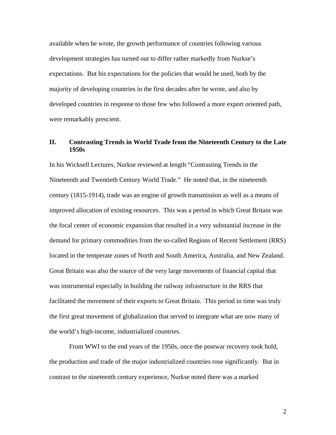available when he wrote, the growth performance of countries following various development strategies has turned out to differ rather markedly from Nurkse's expectations. But his expectations for the policies that would be used, both by the majority of developing countries in the first decades after he wrote, and also by developed countries in response to those few who followed a more export oriented path, were remarkably prescient.

# **II. Contrasting Trends in World Trade from the Nineteenth Century to the Late 1950s**

In his Wicksell Lectures, Nurkse reviewed at length "Contrasting Trends in the Nineteenth and Twentieth Century World Trade." He noted that, in the nineteenth century (1815-1914), trade was an engine of growth transmission as well as a means of improved allocation of existing resources. This was a period in which Great Britain was the focal center of economic expansion that resulted in a very substantial increase in the demand for primary commodities from the so-called Regions of Recent Settlement (RRS) located in the temperate zones of North and South America, Australia, and New Zealand. Great Britain was also the source of the very large movements of financial capital that was instrumental especially in building the railway infrastructure in the RRS that facilitated the movement of their exports to Great Britain. This period in time was truly the first great movement of globalization that served to integrate what are now many of the world's high-income, industrialized countries.

 From WWI to the end years of the 1950s, once the postwar recovery took hold, the production and trade of the major industrialized countries rose significantly. But in contrast to the nineteenth century experience, Nurkse noted there was a marked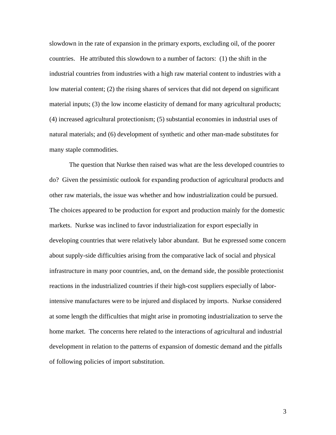slowdown in the rate of expansion in the primary exports, excluding oil, of the poorer countries. He attributed this slowdown to a number of factors: (1) the shift in the industrial countries from industries with a high raw material content to industries with a low material content; (2) the rising shares of services that did not depend on significant material inputs; (3) the low income elasticity of demand for many agricultural products; (4) increased agricultural protectionism; (5) substantial economies in industrial uses of natural materials; and (6) development of synthetic and other man-made substitutes for many staple commodities.

 The question that Nurkse then raised was what are the less developed countries to do? Given the pessimistic outlook for expanding production of agricultural products and other raw materials, the issue was whether and how industrialization could be pursued. The choices appeared to be production for export and production mainly for the domestic markets. Nurkse was inclined to favor industrialization for export especially in developing countries that were relatively labor abundant. But he expressed some concern about supply-side difficulties arising from the comparative lack of social and physical infrastructure in many poor countries, and, on the demand side, the possible protectionist reactions in the industrialized countries if their high-cost suppliers especially of laborintensive manufactures were to be injured and displaced by imports. Nurkse considered at some length the difficulties that might arise in promoting industrialization to serve the home market. The concerns here related to the interactions of agricultural and industrial development in relation to the patterns of expansion of domestic demand and the pitfalls of following policies of import substitution.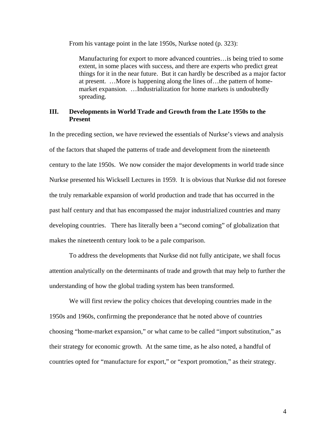From his vantage point in the late 1950s, Nurkse noted (p. 323):

Manufacturing for export to more advanced countries…is being tried to some extent, in some places with success, and there are experts who predict great things for it in the near future. But it can hardly be described as a major factor at present. …More is happening along the lines of…the pattern of homemarket expansion. …Industrialization for home markets is undoubtedly spreading.

# **III. Developments in World Trade and Growth from the Late 1950s to the Present**

In the preceding section, we have reviewed the essentials of Nurkse's views and analysis of the factors that shaped the patterns of trade and development from the nineteenth century to the late 1950s. We now consider the major developments in world trade since Nurkse presented his Wicksell Lectures in 1959. It is obvious that Nurkse did not foresee the truly remarkable expansion of world production and trade that has occurred in the past half century and that has encompassed the major industrialized countries and many developing countries. There has literally been a "second coming" of globalization that makes the nineteenth century look to be a pale comparison.

To address the developments that Nurkse did not fully anticipate, we shall focus attention analytically on the determinants of trade and growth that may help to further the understanding of how the global trading system has been transformed.

We will first review the policy choices that developing countries made in the 1950s and 1960s, confirming the preponderance that he noted above of countries choosing "home-market expansion," or what came to be called "import substitution," as their strategy for economic growth. At the same time, as he also noted, a handful of countries opted for "manufacture for export," or "export promotion," as their strategy.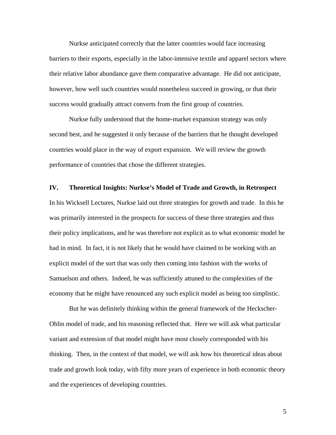Nurkse anticipated correctly that the latter countries would face increasing barriers to their exports, especially in the labor-intensive textile and apparel sectors where their relative labor abundance gave them comparative advantage. He did not anticipate, however, how well such countries would nonetheless succeed in growing, or that their success would gradually attract converts from the first group of countries.

Nurkse fully understood that the home-market expansion strategy was only second best, and he suggested it only because of the barriers that he thought developed countries would place in the way of export expansion. We will review the growth performance of countries that chose the different strategies.

#### **IV. Theoretical Insights: Nurkse's Model of Trade and Growth, in Retrospect**

In his Wicksell Lectures, Nurkse laid out three strategies for growth and trade. In this he was primarily interested in the prospects for success of these three strategies and thus their policy implications, and he was therefore not explicit as to what economic model he had in mind. In fact, it is not likely that he would have claimed to be working with an explicit model of the sort that was only then coming into fashion with the works of Samuelson and others. Indeed, he was sufficiently attuned to the complexities of the economy that he might have renounced any such explicit model as being too simplistic.

But he was definitely thinking within the general framework of the Heckscher-Ohlin model of trade, and his reasoning reflected that. Here we will ask what particular variant and extension of that model might have most closely corresponded with his thinking. Then, in the context of that model, we will ask how his theoretical ideas about trade and growth look today, with fifty more years of experience in both economic theory and the experiences of developing countries.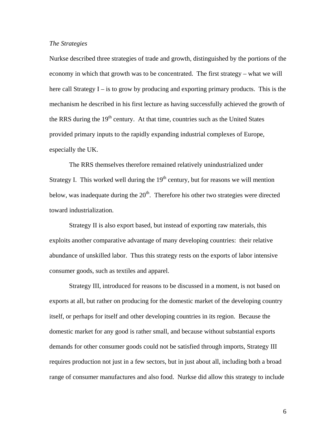#### *The Strategies*

Nurkse described three strategies of trade and growth, distinguished by the portions of the economy in which that growth was to be concentrated. The first strategy – what we will here call Strategy I – is to grow by producing and exporting primary products. This is the mechanism he described in his first lecture as having successfully achieved the growth of the RRS during the  $19<sup>th</sup>$  century. At that time, countries such as the United States provided primary inputs to the rapidly expanding industrial complexes of Europe, especially the UK.

The RRS themselves therefore remained relatively unindustrialized under Strategy I. This worked well during the  $19<sup>th</sup>$  century, but for reasons we will mention below, was inadequate during the  $20<sup>th</sup>$ . Therefore his other two strategies were directed toward industrialization.

 Strategy II is also export based, but instead of exporting raw materials, this exploits another comparative advantage of many developing countries: their relative abundance of unskilled labor. Thus this strategy rests on the exports of labor intensive consumer goods, such as textiles and apparel.

 Strategy III, introduced for reasons to be discussed in a moment, is not based on exports at all, but rather on producing for the domestic market of the developing country itself, or perhaps for itself and other developing countries in its region. Because the domestic market for any good is rather small, and because without substantial exports demands for other consumer goods could not be satisfied through imports, Strategy III requires production not just in a few sectors, but in just about all, including both a broad range of consumer manufactures and also food. Nurkse did allow this strategy to include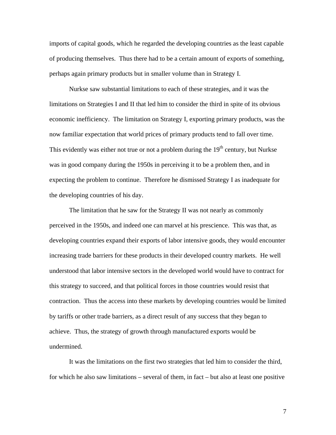imports of capital goods, which he regarded the developing countries as the least capable of producing themselves. Thus there had to be a certain amount of exports of something, perhaps again primary products but in smaller volume than in Strategy I.

 Nurkse saw substantial limitations to each of these strategies, and it was the limitations on Strategies I and II that led him to consider the third in spite of its obvious economic inefficiency. The limitation on Strategy I, exporting primary products, was the now familiar expectation that world prices of primary products tend to fall over time. This evidently was either not true or not a problem during the  $19<sup>th</sup>$  century, but Nurkse was in good company during the 1950s in perceiving it to be a problem then, and in expecting the problem to continue. Therefore he dismissed Strategy I as inadequate for the developing countries of his day.

 The limitation that he saw for the Strategy II was not nearly as commonly perceived in the 1950s, and indeed one can marvel at his prescience. This was that, as developing countries expand their exports of labor intensive goods, they would encounter increasing trade barriers for these products in their developed country markets. He well understood that labor intensive sectors in the developed world would have to contract for this strategy to succeed, and that political forces in those countries would resist that contraction. Thus the access into these markets by developing countries would be limited by tariffs or other trade barriers, as a direct result of any success that they began to achieve. Thus, the strategy of growth through manufactured exports would be undermined.

 It was the limitations on the first two strategies that led him to consider the third, for which he also saw limitations – several of them, in fact – but also at least one positive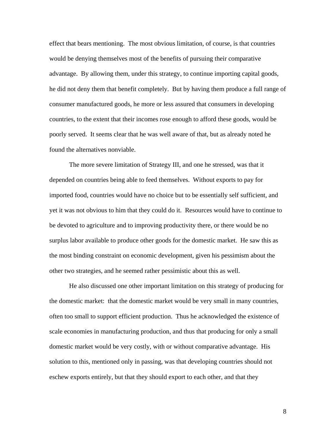effect that bears mentioning. The most obvious limitation, of course, is that countries would be denying themselves most of the benefits of pursuing their comparative advantage. By allowing them, under this strategy, to continue importing capital goods, he did not deny them that benefit completely. But by having them produce a full range of consumer manufactured goods, he more or less assured that consumers in developing countries, to the extent that their incomes rose enough to afford these goods, would be poorly served. It seems clear that he was well aware of that, but as already noted he found the alternatives nonviable.

 The more severe limitation of Strategy III, and one he stressed, was that it depended on countries being able to feed themselves. Without exports to pay for imported food, countries would have no choice but to be essentially self sufficient, and yet it was not obvious to him that they could do it. Resources would have to continue to be devoted to agriculture and to improving productivity there, or there would be no surplus labor available to produce other goods for the domestic market. He saw this as the most binding constraint on economic development, given his pessimism about the other two strategies, and he seemed rather pessimistic about this as well.

 He also discussed one other important limitation on this strategy of producing for the domestic market: that the domestic market would be very small in many countries, often too small to support efficient production. Thus he acknowledged the existence of scale economies in manufacturing production, and thus that producing for only a small domestic market would be very costly, with or without comparative advantage. His solution to this, mentioned only in passing, was that developing countries should not eschew exports entirely, but that they should export to each other, and that they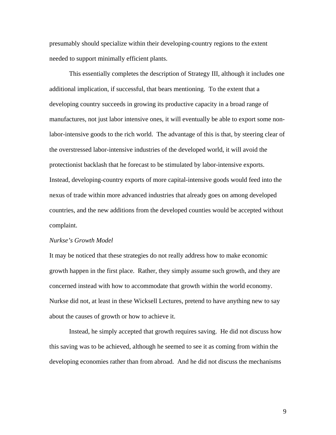presumably should specialize within their developing-country regions to the extent needed to support minimally efficient plants.

 This essentially completes the description of Strategy III, although it includes one additional implication, if successful, that bears mentioning. To the extent that a developing country succeeds in growing its productive capacity in a broad range of manufactures, not just labor intensive ones, it will eventually be able to export some nonlabor-intensive goods to the rich world. The advantage of this is that, by steering clear of the overstressed labor-intensive industries of the developed world, it will avoid the protectionist backlash that he forecast to be stimulated by labor-intensive exports. Instead, developing-country exports of more capital-intensive goods would feed into the nexus of trade within more advanced industries that already goes on among developed countries, and the new additions from the developed counties would be accepted without complaint.

#### *Nurkse's Growth Model*

It may be noticed that these strategies do not really address how to make economic growth happen in the first place. Rather, they simply assume such growth, and they are concerned instead with how to accommodate that growth within the world economy. Nurkse did not, at least in these Wicksell Lectures, pretend to have anything new to say about the causes of growth or how to achieve it.

 Instead, he simply accepted that growth requires saving. He did not discuss how this saving was to be achieved, although he seemed to see it as coming from within the developing economies rather than from abroad. And he did not discuss the mechanisms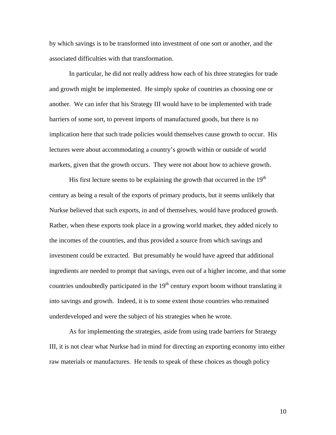by which savings is to be transformed into investment of one sort or another, and the associated difficulties with that transformation.

 In particular, he did not really address how each of his three strategies for trade and growth might be implemented. He simply spoke of countries as choosing one or another. We can infer that his Strategy III would have to be implemented with trade barriers of some sort, to prevent imports of manufactured goods, but there is no implication here that such trade policies would themselves cause growth to occur. His lectures were about accommodating a country's growth within or outside of world markets, given that the growth occurs. They were not about how to achieve growth.

His first lecture seems to be explaining the growth that occurred in the  $19<sup>th</sup>$ century as being a result of the exports of primary products, but it seems unlikely that Nurkse believed that such exports, in and of themselves, would have produced growth. Rather, when these exports took place in a growing world market, they added nicely to the incomes of the countries, and thus provided a source from which savings and investment could be extracted. But presumably he would have agreed that additional ingredients are needed to prompt that savings, even out of a higher income, and that some countries undoubtedly participated in the  $19<sup>th</sup>$  century export boom without translating it into savings and growth. Indeed, it is to some extent those countries who remained underdeveloped and were the subject of his strategies when he wrote.

 As for implementing the strategies, aside from using trade barriers for Strategy III, it is not clear what Nurkse had in mind for directing an exporting economy into either raw materials or manufactures. He tends to speak of these choices as though policy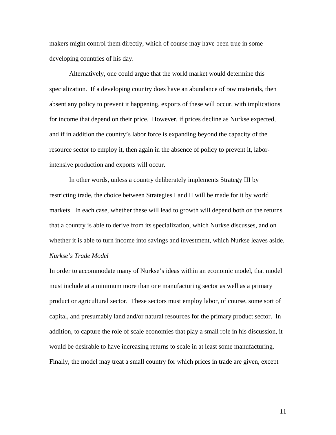makers might control them directly, which of course may have been true in some developing countries of his day.

Alternatively, one could argue that the world market would determine this specialization. If a developing country does have an abundance of raw materials, then absent any policy to prevent it happening, exports of these will occur, with implications for income that depend on their price. However, if prices decline as Nurkse expected, and if in addition the country's labor force is expanding beyond the capacity of the resource sector to employ it, then again in the absence of policy to prevent it, laborintensive production and exports will occur.

In other words, unless a country deliberately implements Strategy III by restricting trade, the choice between Strategies I and II will be made for it by world markets. In each case, whether these will lead to growth will depend both on the returns that a country is able to derive from its specialization, which Nurkse discusses, and on whether it is able to turn income into savings and investment, which Nurkse leaves aside. *Nurkse's Trade Model*

In order to accommodate many of Nurkse's ideas within an economic model, that model must include at a minimum more than one manufacturing sector as well as a primary product or agricultural sector. These sectors must employ labor, of course, some sort of capital, and presumably land and/or natural resources for the primary product sector. In addition, to capture the role of scale economies that play a small role in his discussion, it would be desirable to have increasing returns to scale in at least some manufacturing. Finally, the model may treat a small country for which prices in trade are given, except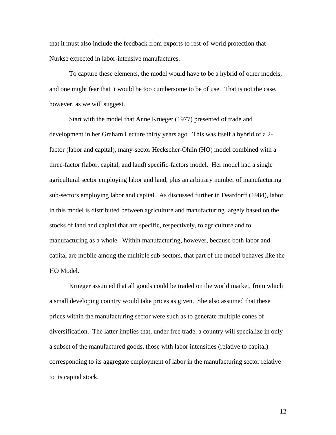that it must also include the feedback from exports to rest-of-world protection that Nurkse expected in labor-intensive manufactures.

 To capture these elements, the model would have to be a hybrid of other models, and one might fear that it would be too cumbersome to be of use. That is not the case, however, as we will suggest.

 Start with the model that Anne Krueger (1977) presented of trade and development in her Graham Lecture thirty years ago. This was itself a hybrid of a 2 factor (labor and capital), many-sector Heckscher-Ohlin (HO) model combined with a three-factor (labor, capital, and land) specific-factors model. Her model had a single agricultural sector employing labor and land, plus an arbitrary number of manufacturing sub-sectors employing labor and capital. As discussed further in Deardorff (1984), labor in this model is distributed between agriculture and manufacturing largely based on the stocks of land and capital that are specific, respectively, to agriculture and to manufacturing as a whole. Within manufacturing, however, because both labor and capital are mobile among the multiple sub-sectors, that part of the model behaves like the HO Model.

Krueger assumed that all goods could be traded on the world market, from which a small developing country would take prices as given. She also assumed that these prices within the manufacturing sector were such as to generate multiple cones of diversification. The latter implies that, under free trade, a country will specialize in only a subset of the manufactured goods, those with labor intensities (relative to capital) corresponding to its aggregate employment of labor in the manufacturing sector relative to its capital stock.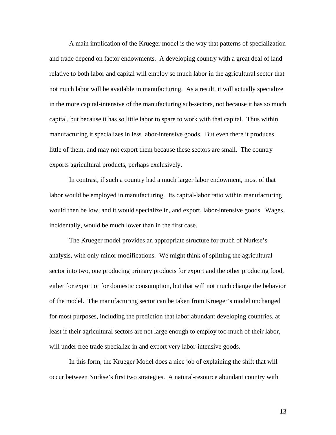A main implication of the Krueger model is the way that patterns of specialization and trade depend on factor endowments. A developing country with a great deal of land relative to both labor and capital will employ so much labor in the agricultural sector that not much labor will be available in manufacturing. As a result, it will actually specialize in the more capital-intensive of the manufacturing sub-sectors, not because it has so much capital, but because it has so little labor to spare to work with that capital. Thus within manufacturing it specializes in less labor-intensive goods. But even there it produces little of them, and may not export them because these sectors are small. The country exports agricultural products, perhaps exclusively.

In contrast, if such a country had a much larger labor endowment, most of that labor would be employed in manufacturing. Its capital-labor ratio within manufacturing would then be low, and it would specialize in, and export, labor-intensive goods. Wages, incidentally, would be much lower than in the first case.

The Krueger model provides an appropriate structure for much of Nurkse's analysis, with only minor modifications. We might think of splitting the agricultural sector into two, one producing primary products for export and the other producing food, either for export or for domestic consumption, but that will not much change the behavior of the model. The manufacturing sector can be taken from Krueger's model unchanged for most purposes, including the prediction that labor abundant developing countries, at least if their agricultural sectors are not large enough to employ too much of their labor, will under free trade specialize in and export very labor-intensive goods.

In this form, the Krueger Model does a nice job of explaining the shift that will occur between Nurkse's first two strategies. A natural-resource abundant country with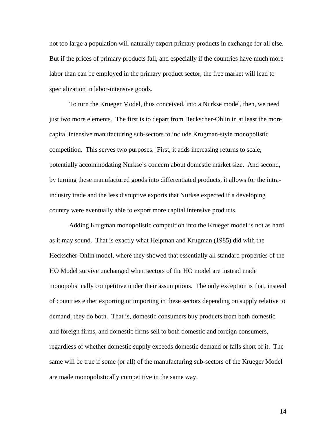not too large a population will naturally export primary products in exchange for all else. But if the prices of primary products fall, and especially if the countries have much more labor than can be employed in the primary product sector, the free market will lead to specialization in labor-intensive goods.

To turn the Krueger Model, thus conceived, into a Nurkse model, then, we need just two more elements. The first is to depart from Heckscher-Ohlin in at least the more capital intensive manufacturing sub-sectors to include Krugman-style monopolistic competition. This serves two purposes. First, it adds increasing returns to scale, potentially accommodating Nurkse's concern about domestic market size. And second, by turning these manufactured goods into differentiated products, it allows for the intraindustry trade and the less disruptive exports that Nurkse expected if a developing country were eventually able to export more capital intensive products.

Adding Krugman monopolistic competition into the Krueger model is not as hard as it may sound. That is exactly what Helpman and Krugman (1985) did with the Heckscher-Ohlin model, where they showed that essentially all standard properties of the HO Model survive unchanged when sectors of the HO model are instead made monopolistically competitive under their assumptions. The only exception is that, instead of countries either exporting or importing in these sectors depending on supply relative to demand, they do both. That is, domestic consumers buy products from both domestic and foreign firms, and domestic firms sell to both domestic and foreign consumers, regardless of whether domestic supply exceeds domestic demand or falls short of it. The same will be true if some (or all) of the manufacturing sub-sectors of the Krueger Model are made monopolistically competitive in the same way.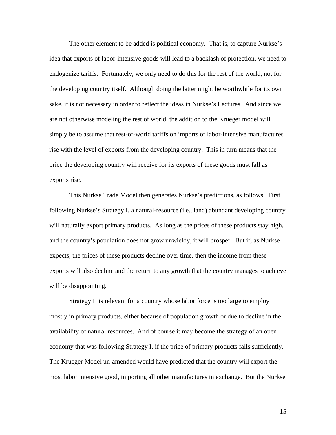The other element to be added is political economy. That is, to capture Nurkse's idea that exports of labor-intensive goods will lead to a backlash of protection, we need to endogenize tariffs. Fortunately, we only need to do this for the rest of the world, not for the developing country itself. Although doing the latter might be worthwhile for its own sake, it is not necessary in order to reflect the ideas in Nurkse's Lectures. And since we are not otherwise modeling the rest of world, the addition to the Krueger model will simply be to assume that rest-of-world tariffs on imports of labor-intensive manufactures rise with the level of exports from the developing country. This in turn means that the price the developing country will receive for its exports of these goods must fall as exports rise.

This Nurkse Trade Model then generates Nurkse's predictions, as follows. First following Nurkse's Strategy I, a natural-resource (i.e., land) abundant developing country will naturally export primary products. As long as the prices of these products stay high, and the country's population does not grow unwieldy, it will prosper. But if, as Nurkse expects, the prices of these products decline over time, then the income from these exports will also decline and the return to any growth that the country manages to achieve will be disappointing.

Strategy II is relevant for a country whose labor force is too large to employ mostly in primary products, either because of population growth or due to decline in the availability of natural resources. And of course it may become the strategy of an open economy that was following Strategy I, if the price of primary products falls sufficiently. The Krueger Model un-amended would have predicted that the country will export the most labor intensive good, importing all other manufactures in exchange. But the Nurkse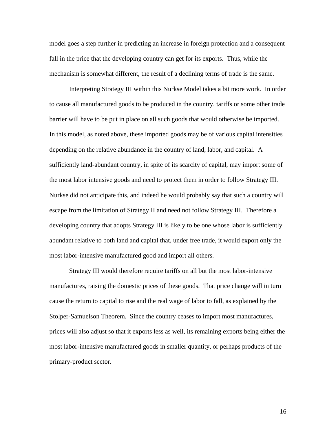model goes a step further in predicting an increase in foreign protection and a consequent fall in the price that the developing country can get for its exports. Thus, while the mechanism is somewhat different, the result of a declining terms of trade is the same.

Interpreting Strategy III within this Nurkse Model takes a bit more work. In order to cause all manufactured goods to be produced in the country, tariffs or some other trade barrier will have to be put in place on all such goods that would otherwise be imported. In this model, as noted above, these imported goods may be of various capital intensities depending on the relative abundance in the country of land, labor, and capital. A sufficiently land-abundant country, in spite of its scarcity of capital, may import some of the most labor intensive goods and need to protect them in order to follow Strategy III. Nurkse did not anticipate this, and indeed he would probably say that such a country will escape from the limitation of Strategy II and need not follow Strategy III. Therefore a developing country that adopts Strategy III is likely to be one whose labor is sufficiently abundant relative to both land and capital that, under free trade, it would export only the most labor-intensive manufactured good and import all others.

Strategy III would therefore require tariffs on all but the most labor-intensive manufactures, raising the domestic prices of these goods. That price change will in turn cause the return to capital to rise and the real wage of labor to fall, as explained by the Stolper-Samuelson Theorem. Since the country ceases to import most manufactures, prices will also adjust so that it exports less as well, its remaining exports being either the most labor-intensive manufactured goods in smaller quantity, or perhaps products of the primary-product sector.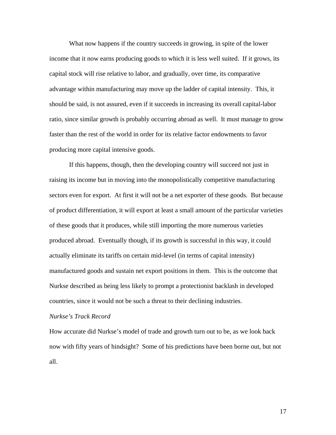What now happens if the country succeeds in growing, in spite of the lower income that it now earns producing goods to which it is less well suited. If it grows, its capital stock will rise relative to labor, and gradually, over time, its comparative advantage within manufacturing may move up the ladder of capital intensity. This, it should be said, is not assured, even if it succeeds in increasing its overall capital-labor ratio, since similar growth is probably occurring abroad as well. It must manage to grow faster than the rest of the world in order for its relative factor endowments to favor producing more capital intensive goods.

If this happens, though, then the developing country will succeed not just in raising its income but in moving into the monopolistically competitive manufacturing sectors even for export. At first it will not be a net exporter of these goods. But because of product differentiation, it will export at least a small amount of the particular varieties of these goods that it produces, while still importing the more numerous varieties produced abroad. Eventually though, if its growth is successful in this way, it could actually eliminate its tariffs on certain mid-level (in terms of capital intensity) manufactured goods and sustain net export positions in them. This is the outcome that Nurkse described as being less likely to prompt a protectionist backlash in developed countries, since it would not be such a threat to their declining industries.

#### *Nurkse's Track Record*

How accurate did Nurkse's model of trade and growth turn out to be, as we look back now with fifty years of hindsight? Some of his predictions have been borne out, but not all.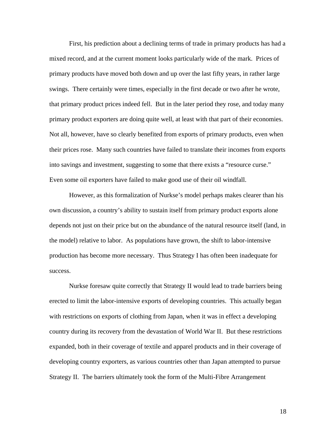First, his prediction about a declining terms of trade in primary products has had a mixed record, and at the current moment looks particularly wide of the mark. Prices of primary products have moved both down and up over the last fifty years, in rather large swings. There certainly were times, especially in the first decade or two after he wrote, that primary product prices indeed fell. But in the later period they rose, and today many primary product exporters are doing quite well, at least with that part of their economies. Not all, however, have so clearly benefited from exports of primary products, even when their prices rose. Many such countries have failed to translate their incomes from exports into savings and investment, suggesting to some that there exists a "resource curse." Even some oil exporters have failed to make good use of their oil windfall.

 However, as this formalization of Nurkse's model perhaps makes clearer than his own discussion, a country's ability to sustain itself from primary product exports alone depends not just on their price but on the abundance of the natural resource itself (land, in the model) relative to labor. As populations have grown, the shift to labor-intensive production has become more necessary. Thus Strategy I has often been inadequate for success.

 Nurkse foresaw quite correctly that Strategy II would lead to trade barriers being erected to limit the labor-intensive exports of developing countries. This actually began with restrictions on exports of clothing from Japan, when it was in effect a developing country during its recovery from the devastation of World War II. But these restrictions expanded, both in their coverage of textile and apparel products and in their coverage of developing country exporters, as various countries other than Japan attempted to pursue Strategy II. The barriers ultimately took the form of the Multi-Fibre Arrangement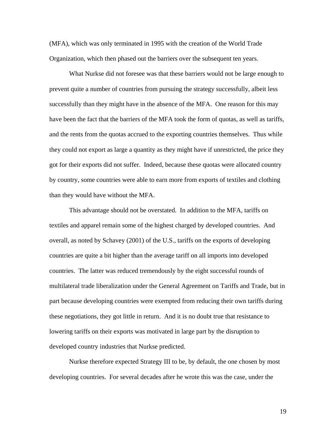(MFA), which was only terminated in 1995 with the creation of the World Trade Organization, which then phased out the barriers over the subsequent ten years.

 What Nurkse did not foresee was that these barriers would not be large enough to prevent quite a number of countries from pursuing the strategy successfully, albeit less successfully than they might have in the absence of the MFA. One reason for this may have been the fact that the barriers of the MFA took the form of quotas, as well as tariffs, and the rents from the quotas accrued to the exporting countries themselves. Thus while they could not export as large a quantity as they might have if unrestricted, the price they got for their exports did not suffer. Indeed, because these quotas were allocated country by country, some countries were able to earn more from exports of textiles and clothing than they would have without the MFA.

 This advantage should not be overstated. In addition to the MFA, tariffs on textiles and apparel remain some of the highest charged by developed countries. And overall, as noted by Schavey (2001) of the U.S., tariffs on the exports of developing countries are quite a bit higher than the average tariff on all imports into developed countries. The latter was reduced tremendously by the eight successful rounds of multilateral trade liberalization under the General Agreement on Tariffs and Trade, but in part because developing countries were exempted from reducing their own tariffs during these negotiations, they got little in return. And it is no doubt true that resistance to lowering tariffs on their exports was motivated in large part by the disruption to developed country industries that Nurkse predicted.

 Nurkse therefore expected Strategy III to be, by default, the one chosen by most developing countries. For several decades after he wrote this was the case, under the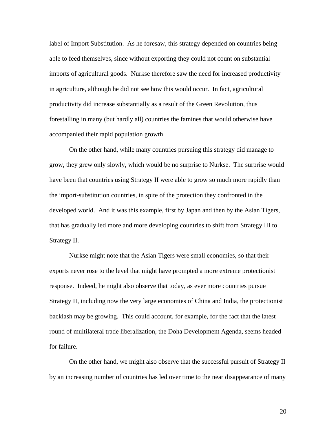label of Import Substitution. As he foresaw, this strategy depended on countries being able to feed themselves, since without exporting they could not count on substantial imports of agricultural goods. Nurkse therefore saw the need for increased productivity in agriculture, although he did not see how this would occur. In fact, agricultural productivity did increase substantially as a result of the Green Revolution, thus forestalling in many (but hardly all) countries the famines that would otherwise have accompanied their rapid population growth.

 On the other hand, while many countries pursuing this strategy did manage to grow, they grew only slowly, which would be no surprise to Nurkse. The surprise would have been that countries using Strategy II were able to grow so much more rapidly than the import-substitution countries, in spite of the protection they confronted in the developed world. And it was this example, first by Japan and then by the Asian Tigers, that has gradually led more and more developing countries to shift from Strategy III to Strategy II.

 Nurkse might note that the Asian Tigers were small economies, so that their exports never rose to the level that might have prompted a more extreme protectionist response. Indeed, he might also observe that today, as ever more countries pursue Strategy II, including now the very large economies of China and India, the protectionist backlash may be growing. This could account, for example, for the fact that the latest round of multilateral trade liberalization, the Doha Development Agenda, seems headed for failure.

 On the other hand, we might also observe that the successful pursuit of Strategy II by an increasing number of countries has led over time to the near disappearance of many